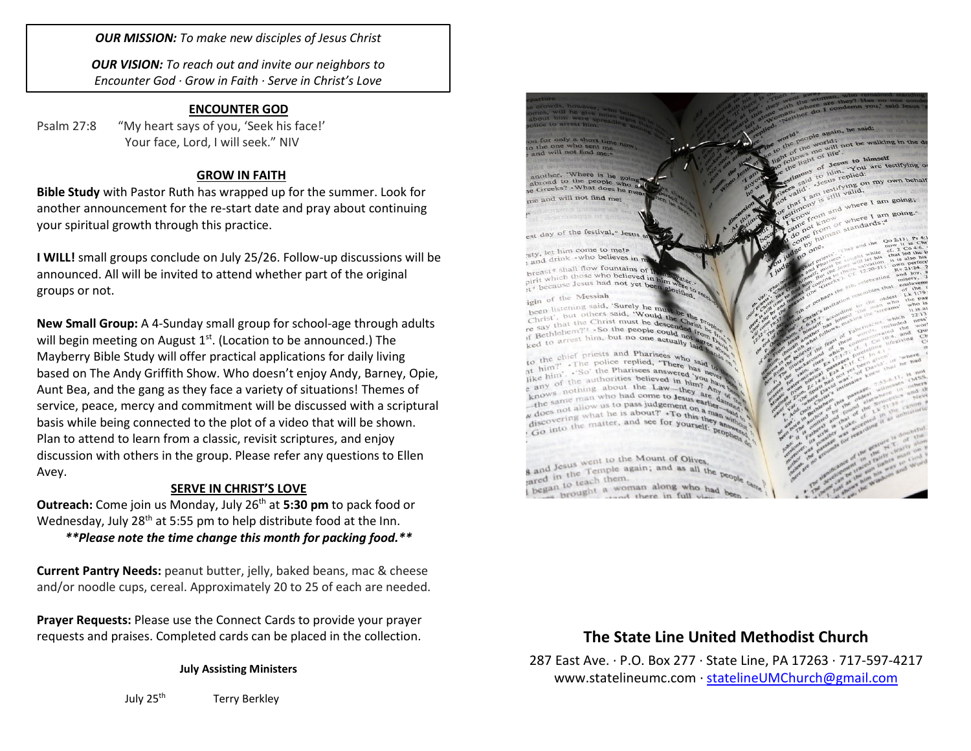*OUR MISSION: To make new disciples of Jesus Christ*

*OUR VISION: To reach out and invite our neighbors to Encounter God · Grow in Faith · Serve in Christ's Love*

### **ENCOUNTER GOD**

Psalm 27:8 "My heart says of you, 'Seek his face!' Your face, Lord, I will seek." NIV

### **GROW IN FAITH**

**Bible Study** with Pastor Ruth has wrapped up for the summer. Look for another announcement for the re-start date and pray about continuing your spiritual growth through this practice.

**I WILL!** small groups conclude on July 25/26. Follow-up discussions will be announced. All will be invited to attend whether part of the original groups or not.

**New Small Group:** A 4-Sunday small group for school-age through adults will begin meeting on August 1<sup>st</sup>. (Location to be announced.) The Mayberry Bible Study will offer practical applications for daily living based on The Andy Griffith Show. Who doesn't enjoy Andy, Barney, Opie, Aunt Bea, and the gang as they face a variety of situations! Themes of service, peace, mercy and commitment will be discussed with a scriptural basis while being connected to the plot of a video that will be shown. Plan to attend to learn from a classic, revisit scriptures, and enjoy discussion with others in the group. Please refer any questions to Ellen Avey.

#### **SERVE IN CHRIST'S LOVE**

**Outreach:** Come join us Monday, July 26<sup>th</sup> at **5:30 pm** to pack food or Wednesday, July 28<sup>th</sup> at 5:55 pm to help distribute food at the Inn.

## *\*\*Please note the time change this month for packing food.\*\**

**Current Pantry Needs:** peanut butter, jelly, baked beans, mac & cheese and/or noodle cups, cereal. Approximately 20 to 25 of each are needed.

**Prayer Requests:** Please use the Connect Cards to provide your prayer requests and praises. Completed cards can be placed in the collection.

**July Assisting Ministers**

July 25<sup>th</sup> Terry Berkley



and in the Temple as<br>ared in to teach them.<br>began to teach t a wom to teach a woman along who had tand there in full vi

## **The State Line United Methodist Church**

287 East Ave. · P.O. Box 277 · State Line, PA 17263 · 717-597-4217 [www.statelineumc.com](http://www.statelineumc.com/) · [statelineUMChurch@gmail.com](mailto:statelineUMChurch@gmail.com)